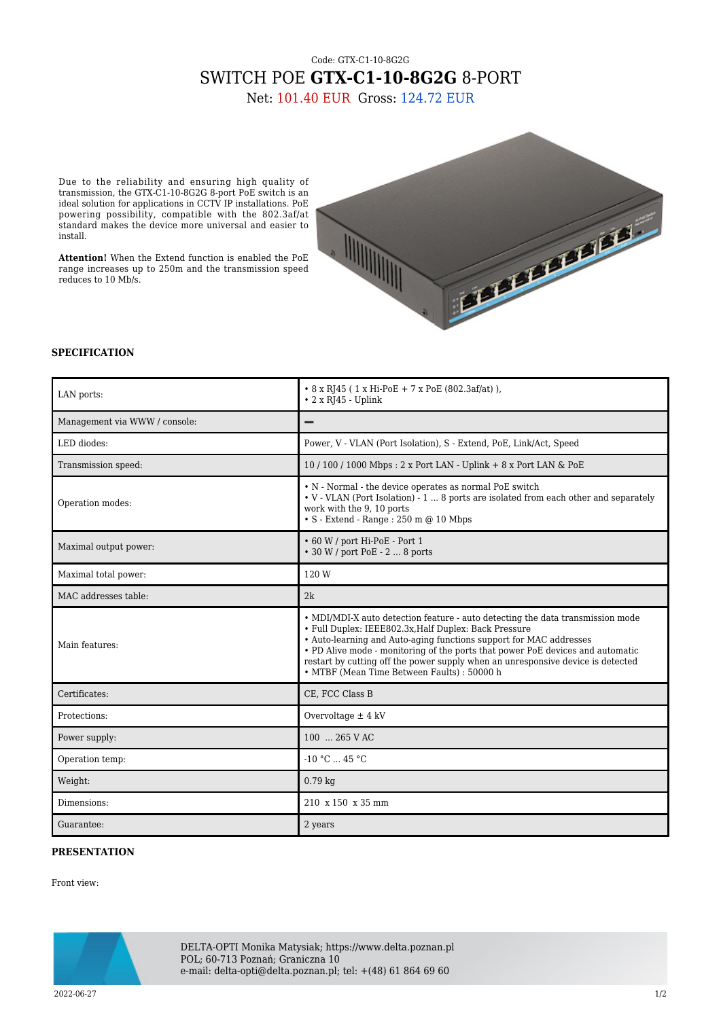## Code: GTX-C1-10-8G2G SWITCH POE **GTX-C1-10-8G2G** 8-PORT

Net: 101.40 EUR Gross: 124.72 EUR

Due to the reliability and ensuring high quality of transmission, the GTX-C1-10-8G2G 8-port PoE switch is an ideal solution for applications in CCTV IP installations. PoE powering possibility, compatible with the 802.3af/at standard makes the device more universal and easier to install.

**Attention!** When the Extend function is enabled the PoE range increases up to 250m and the transmission speed reduces to 10 Mb/s.



## **SPECIFICATION**

| LAN ports:                    | • 8 x RJ45 (1 x Hi-PoE + 7 x PoE (802.3af/at)),<br>$\cdot$ 2 x RJ45 - Uplink                                                                                                                                                                                                                                                                                                                                                      |
|-------------------------------|-----------------------------------------------------------------------------------------------------------------------------------------------------------------------------------------------------------------------------------------------------------------------------------------------------------------------------------------------------------------------------------------------------------------------------------|
| Management via WWW / console: |                                                                                                                                                                                                                                                                                                                                                                                                                                   |
| LED diodes:                   | Power, V - VLAN (Port Isolation), S - Extend, PoE, Link/Act, Speed                                                                                                                                                                                                                                                                                                                                                                |
| Transmission speed:           | 10/100/1000 Mbps: 2 x Port LAN - Uplink + 8 x Port LAN & PoE                                                                                                                                                                                                                                                                                                                                                                      |
| Operation modes:              | • N - Normal - the device operates as normal PoE switch<br>• V - VLAN (Port Isolation) - 1  8 ports are isolated from each other and separately<br>work with the 9, 10 ports<br>$\bullet$ S - Extend - Range : 250 m @ 10 Mbps                                                                                                                                                                                                    |
| Maximal output power:         | • 60 W / port Hi-PoE - Port 1<br>• 30 W / port PoE - 2  8 ports                                                                                                                                                                                                                                                                                                                                                                   |
| Maximal total power:          | 120 W                                                                                                                                                                                                                                                                                                                                                                                                                             |
| MAC addresses table:          | 2k                                                                                                                                                                                                                                                                                                                                                                                                                                |
| Main features:                | • MDI/MDI-X auto detection feature - auto detecting the data transmission mode<br>• Full Duplex: IEEE802.3x, Half Duplex: Back Pressure<br>• Auto-learning and Auto-aging functions support for MAC addresses<br>• PD Alive mode - monitoring of the ports that power PoE devices and automatic<br>restart by cutting off the power supply when an unresponsive device is detected<br>• MTBF (Mean Time Between Faults) : 50000 h |
| Certificates:                 | CE, FCC Class B                                                                                                                                                                                                                                                                                                                                                                                                                   |
| Protections:                  | Overvoltage $\pm$ 4 kV                                                                                                                                                                                                                                                                                                                                                                                                            |
| Power supply:                 | 100  265 V AC                                                                                                                                                                                                                                                                                                                                                                                                                     |
| Operation temp:               | $-10 °C$ 45 °C                                                                                                                                                                                                                                                                                                                                                                                                                    |
| Weight:                       | $0.79$ kg                                                                                                                                                                                                                                                                                                                                                                                                                         |
| Dimensions:                   | 210 x 150 x 35 mm                                                                                                                                                                                                                                                                                                                                                                                                                 |
| Guarantee:                    | 2 years                                                                                                                                                                                                                                                                                                                                                                                                                           |

## **PRESENTATION**

Front view:



DELTA-OPTI Monika Matysiak; https://www.delta.poznan.pl POL; 60-713 Poznań; Graniczna 10 e-mail: delta-opti@delta.poznan.pl; tel: +(48) 61 864 69 60